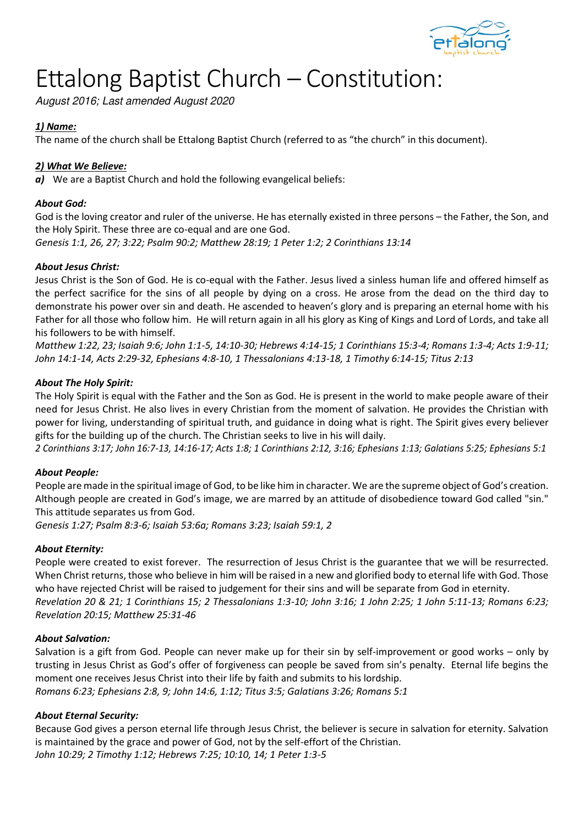

# Ettalong Baptist Church – Constitution:

August 2016; Last amended August 2020

# *1) Name:*

The name of the church shall be Ettalong Baptist Church (referred to as "the church" in this document).

# *2) What We Believe:*

*a)* We are a Baptist Church and hold the following evangelical beliefs:

# *About God:*

God is the loving creator and ruler of the universe. He has eternally existed in three persons – the Father, the Son, and the Holy Spirit. These three are co-equal and are one God.

*Genesis 1:1, 26, 27; 3:22; Psalm 90:2; Matthew 28:19; 1 Peter 1:2; 2 Corinthians 13:14* 

# *About Jesus Christ:*

Jesus Christ is the Son of God. He is co-equal with the Father. Jesus lived a sinless human life and offered himself as the perfect sacrifice for the sins of all people by dying on a cross. He arose from the dead on the third day to demonstrate his power over sin and death. He ascended to heaven's glory and is preparing an eternal home with his Father for all those who follow him. He will return again in all his glory as King of Kings and Lord of Lords, and take all his followers to be with himself.

*Matthew 1:22, 23; Isaiah 9:6; John 1:1-5, 14:10-30; Hebrews 4:14-15; 1 Corinthians 15:3-4; Romans 1:3-4; Acts 1:9-11; John 14:1-14, Acts 2:29-32, Ephesians 4:8-10, 1 Thessalonians 4:13-18, 1 Timothy 6:14-15; Titus 2:13* 

## *About The Holy Spirit:*

The Holy Spirit is equal with the Father and the Son as God. He is present in the world to make people aware of their need for Jesus Christ. He also lives in every Christian from the moment of salvation. He provides the Christian with power for living, understanding of spiritual truth, and guidance in doing what is right. The Spirit gives every believer gifts for the building up of the church. The Christian seeks to live in his will daily.

*2 Corinthians 3:17; John 16:7-13, 14:16-17; Acts 1:8; 1 Corinthians 2:12, 3:16; Ephesians 1:13; Galatians 5:25; Ephesians 5:1* 

# *About People:*

People are made in the spiritual image of God, to be like him in character. We are the supreme object of God's creation. Although people are created in God's image, we are marred by an attitude of disobedience toward God called "sin." This attitude separates us from God.

*Genesis 1:27; Psalm 8:3-6; Isaiah 53:6a; Romans 3:23; Isaiah 59:1, 2* 

# *About Eternity:*

People were created to exist forever. The resurrection of Jesus Christ is the guarantee that we will be resurrected. When Christ returns, those who believe in him will be raised in a new and glorified body to eternal life with God. Those who have rejected Christ will be raised to judgement for their sins and will be separate from God in eternity. *Revelation 20 & 21; 1 Corinthians 15; 2 Thessalonians 1:3-10; John 3:16; 1 John 2:25; 1 John 5:11-13; Romans 6:23; Revelation 20:15; Matthew 25:31-46*

#### *About Salvation:*

Salvation is a gift from God. People can never make up for their sin by self-improvement or good works – only by trusting in Jesus Christ as God's offer of forgiveness can people be saved from sin's penalty. Eternal life begins the moment one receives Jesus Christ into their life by faith and submits to his lordship. *Romans 6:23; Ephesians 2:8, 9; John 14:6, 1:12; Titus 3:5; Galatians 3:26; Romans 5:1* 

# *About Eternal Security:*

Because God gives a person eternal life through Jesus Christ, the believer is secure in salvation for eternity. Salvation is maintained by the grace and power of God, not by the self-effort of the Christian. *John 10:29; 2 Timothy 1:12; Hebrews 7:25; 10:10, 14; 1 Peter 1:3-5*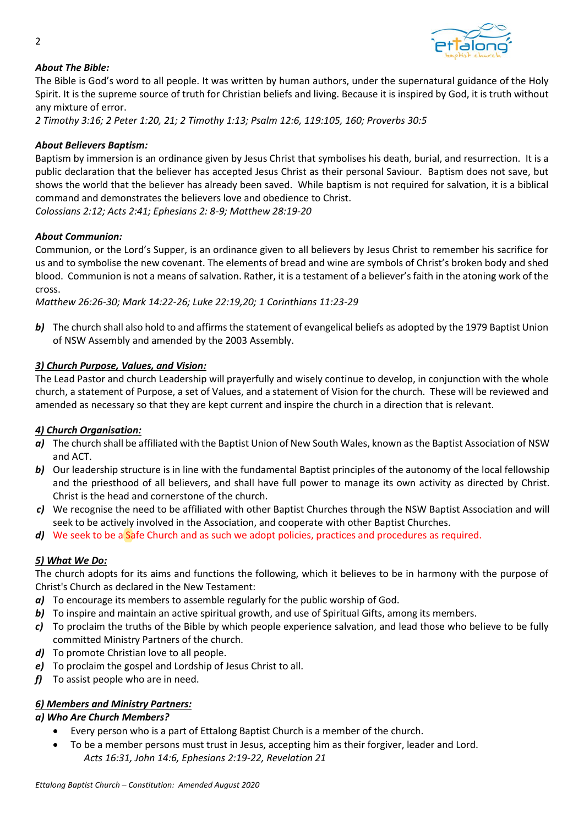

# *About The Bible:*

The Bible is God's word to all people. It was written by human authors, under the supernatural guidance of the Holy Spirit. It is the supreme source of truth for Christian beliefs and living. Because it is inspired by God, it is truth without any mixture of error.

*2 Timothy 3:16; 2 Peter 1:20, 21; 2 Timothy 1:13; Psalm 12:6, 119:105, 160; Proverbs 30:5* 

## *About Believers Baptism:*

Baptism by immersion is an ordinance given by Jesus Christ that symbolises his death, burial, and resurrection. It is a public declaration that the believer has accepted Jesus Christ as their personal Saviour. Baptism does not save, but shows the world that the believer has already been saved. While baptism is not required for salvation, it is a biblical command and demonstrates the believers love and obedience to Christ.

*Colossians 2:12; Acts 2:41; Ephesians 2: 8-9; Matthew 28:19-20* 

#### *About Communion:*

Communion, or the Lord's Supper, is an ordinance given to all believers by Jesus Christ to remember his sacrifice for us and to symbolise the new covenant. The elements of bread and wine are symbols of Christ's broken body and shed blood. Communion is not a means of salvation. Rather, it is a testament of a believer's faith in the atoning work of the cross.

*Matthew 26:26-30; Mark 14:22-26; Luke 22:19,20; 1 Corinthians 11:23-29* 

**b)** The church shall also hold to and affirms the statement of evangelical beliefs as adopted by the 1979 Baptist Union of NSW Assembly and amended by the 2003 Assembly.

#### *3) Church Purpose, Values, and Vision:*

The Lead Pastor and church Leadership will prayerfully and wisely continue to develop, in conjunction with the whole church, a statement of Purpose, a set of Values, and a statement of Vision for the church. These will be reviewed and amended as necessary so that they are kept current and inspire the church in a direction that is relevant.

#### *4) Church Organisation:*

- *a)* The church shall be affiliated with the Baptist Union of New South Wales, known as the Baptist Association of NSW and ACT.
- **b)** Our leadership structure is in line with the fundamental Baptist principles of the autonomy of the local fellowship and the priesthood of all believers, and shall have full power to manage its own activity as directed by Christ. Christ is the head and cornerstone of the church.
- *c)* We recognise the need to be affiliated with other Baptist Churches through the NSW Baptist Association and will seek to be actively involved in the Association, and cooperate with other Baptist Churches.
- d) We seek to be a **Safe Church and as such we adopt policies**, practices and procedures as required.

#### *5) What We Do:*

The church adopts for its aims and functions the following, which it believes to be in harmony with the purpose of Christ's Church as declared in the New Testament:

- *a)* To encourage its members to assemble regularly for the public worship of God.
- **b)** To inspire and maintain an active spiritual growth, and use of Spiritual Gifts, among its members.
- *c)* To proclaim the truths of the Bible by which people experience salvation, and lead those who believe to be fully committed Ministry Partners of the church.
- *d)* To promote Christian love to all people.
- *e)* To proclaim the gospel and Lordship of Jesus Christ to all.
- *f*) To assist people who are in need.

# *6) Members and Ministry Partners:*

# *a) Who Are Church Members?*

- Every person who is a part of Ettalong Baptist Church is a member of the church.
- To be a member persons must trust in Jesus, accepting him as their forgiver, leader and Lord. *Acts 16:31, John 14:6, Ephesians 2:19-22, Revelation 21*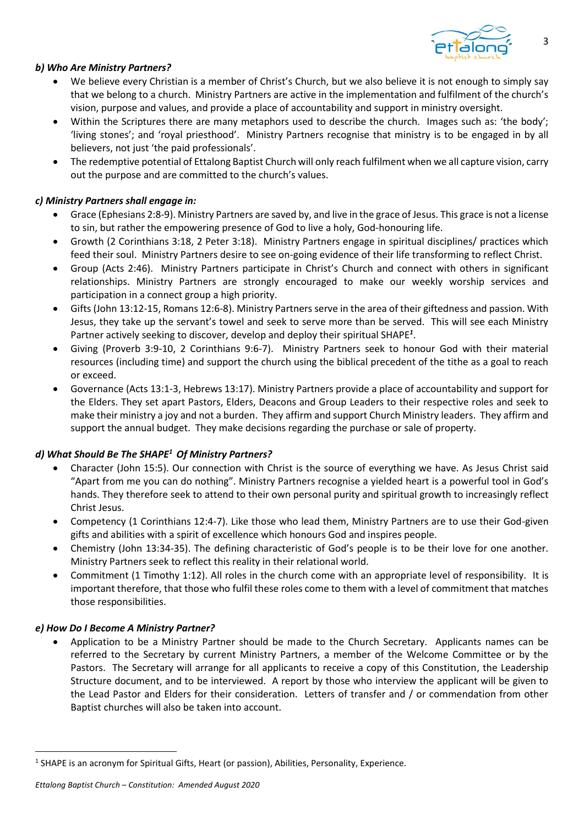

## *b) Who Are Ministry Partners?*

- We believe every Christian is a member of Christ's Church, but we also believe it is not enough to simply say that we belong to a church. Ministry Partners are active in the implementation and fulfilment of the church's vision, purpose and values, and provide a place of accountability and support in ministry oversight.
- Within the Scriptures there are many metaphors used to describe the church. Images such as: 'the body'; 'living stones'; and 'royal priesthood'. Ministry Partners recognise that ministry is to be engaged in by all believers, not just 'the paid professionals'.
- The redemptive potential of Ettalong Baptist Church will only reach fulfilment when we all capture vision, carry out the purpose and are committed to the church's values.

### *c) Ministry Partners shall engage in:*

- Grace (Ephesians 2:8-9). Ministry Partners are saved by, and live in the grace of Jesus. This grace is not a license to sin, but rather the empowering presence of God to live a holy, God-honouring life.
- Growth (2 Corinthians 3:18, 2 Peter 3:18). Ministry Partners engage in spiritual disciplines/ practices which feed their soul. Ministry Partners desire to see on-going evidence of their life transforming to reflect Christ.
- Group (Acts 2:46). Ministry Partners participate in Christ's Church and connect with others in significant relationships. Ministry Partners are strongly encouraged to make our weekly worship services and participation in a connect group a high priority.
- Gifts (John 13:12-15, Romans 12:6-8). Ministry Partners serve in the area of their giftedness and passion. With Jesus, they take up the servant's towel and seek to serve more than be served. This will see each Ministry Partner actively seeking to discover, develop and deploy their spiritual SHAPE*<sup>1</sup>* .
- Giving (Proverb 3:9-10, 2 Corinthians 9:6-7). Ministry Partners seek to honour God with their material resources (including time) and support the church using the biblical precedent of the tithe as a goal to reach or exceed.
- Governance (Acts 13:1-3, Hebrews 13:17). Ministry Partners provide a place of accountability and support for the Elders. They set apart Pastors, Elders, Deacons and Group Leaders to their respective roles and seek to make their ministry a joy and not a burden. They affirm and support Church Ministry leaders. They affirm and support the annual budget. They make decisions regarding the purchase or sale of property.

# *d) What Should Be The SHAPE<sup>1</sup> Of Ministry Partners?*

- Character (John 15:5). Our connection with Christ is the source of everything we have. As Jesus Christ said "Apart from me you can do nothing". Ministry Partners recognise a yielded heart is a powerful tool in God's hands. They therefore seek to attend to their own personal purity and spiritual growth to increasingly reflect Christ Jesus.
- Competency (1 Corinthians 12:4-7). Like those who lead them, Ministry Partners are to use their God-given gifts and abilities with a spirit of excellence which honours God and inspires people.
- Chemistry (John 13:34-35). The defining characteristic of God's people is to be their love for one another. Ministry Partners seek to reflect this reality in their relational world.
- Commitment (1 Timothy 1:12). All roles in the church come with an appropriate level of responsibility. It is important therefore, that those who fulfil these roles come to them with a level of commitment that matches those responsibilities.

#### *e) How Do I Become A Ministry Partner?*

• Application to be a Ministry Partner should be made to the Church Secretary. Applicants names can be referred to the Secretary by current Ministry Partners, a member of the Welcome Committee or by the Pastors. The Secretary will arrange for all applicants to receive a copy of this Constitution, the Leadership Structure document, and to be interviewed. A report by those who interview the applicant will be given to the Lead Pastor and Elders for their consideration. Letters of transfer and / or commendation from other Baptist churches will also be taken into account.

<sup>&</sup>lt;sup>1</sup> SHAPE is an acronym for Spiritual Gifts, Heart (or passion), Abilities, Personality, Experience.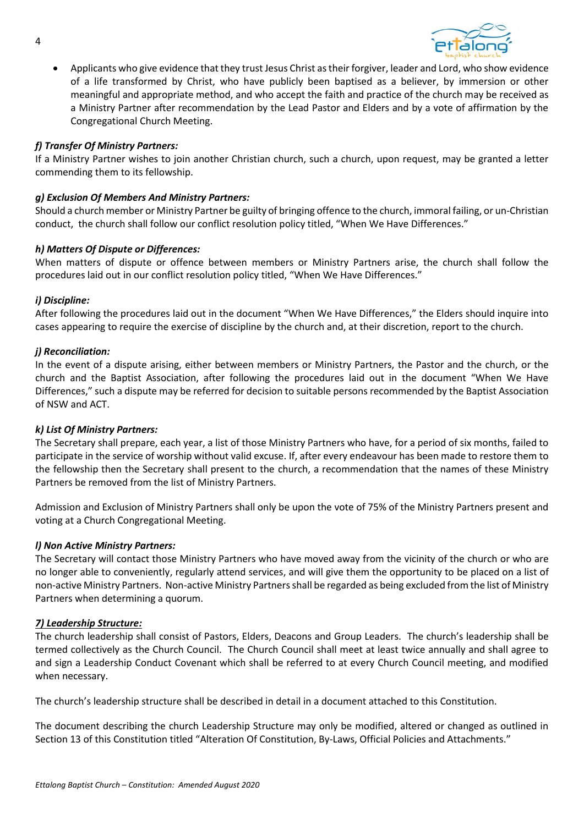

• Applicants who give evidence that they trust Jesus Christ as their forgiver, leader and Lord, who show evidence of a life transformed by Christ, who have publicly been baptised as a believer, by immersion or other meaningful and appropriate method, and who accept the faith and practice of the church may be received as a Ministry Partner after recommendation by the Lead Pastor and Elders and by a vote of affirmation by the Congregational Church Meeting.

## *f) Transfer Of Ministry Partners:*

If a Ministry Partner wishes to join another Christian church, such a church, upon request, may be granted a letter commending them to its fellowship.

#### *g) Exclusion Of Members And Ministry Partners:*

Should a church member or Ministry Partner be guilty of bringing offence to the church, immoral failing, or un-Christian conduct, the church shall follow our conflict resolution policy titled, "When We Have Differences."

#### *h) Matters Of Dispute or Differences:*

When matters of dispute or offence between members or Ministry Partners arise, the church shall follow the procedures laid out in our conflict resolution policy titled, "When We Have Differences."

#### *i) Discipline:*

After following the procedures laid out in the document "When We Have Differences," the Elders should inquire into cases appearing to require the exercise of discipline by the church and, at their discretion, report to the church.

#### *j) Reconciliation:*

In the event of a dispute arising, either between members or Ministry Partners, the Pastor and the church, or the church and the Baptist Association, after following the procedures laid out in the document "When We Have Differences," such a dispute may be referred for decision to suitable persons recommended by the Baptist Association of NSW and ACT.

#### *k) List Of Ministry Partners:*

The Secretary shall prepare, each year, a list of those Ministry Partners who have, for a period of six months, failed to participate in the service of worship without valid excuse. If, after every endeavour has been made to restore them to the fellowship then the Secretary shall present to the church, a recommendation that the names of these Ministry Partners be removed from the list of Ministry Partners.

Admission and Exclusion of Ministry Partners shall only be upon the vote of 75% of the Ministry Partners present and voting at a Church Congregational Meeting.

#### *l) Non Active Ministry Partners:*

The Secretary will contact those Ministry Partners who have moved away from the vicinity of the church or who are no longer able to conveniently, regularly attend services, and will give them the opportunity to be placed on a list of non-active Ministry Partners. Non-active Ministry Partners shall be regarded as being excluded from the list of Ministry Partners when determining a quorum.

#### *7) Leadership Structure:*

The church leadership shall consist of Pastors, Elders, Deacons and Group Leaders. The church's leadership shall be termed collectively as the Church Council. The Church Council shall meet at least twice annually and shall agree to and sign a Leadership Conduct Covenant which shall be referred to at every Church Council meeting, and modified when necessary.

The church's leadership structure shall be described in detail in a document attached to this Constitution.

The document describing the church Leadership Structure may only be modified, altered or changed as outlined in Section 13 of this Constitution titled "Alteration Of Constitution, By-Laws, Official Policies and Attachments."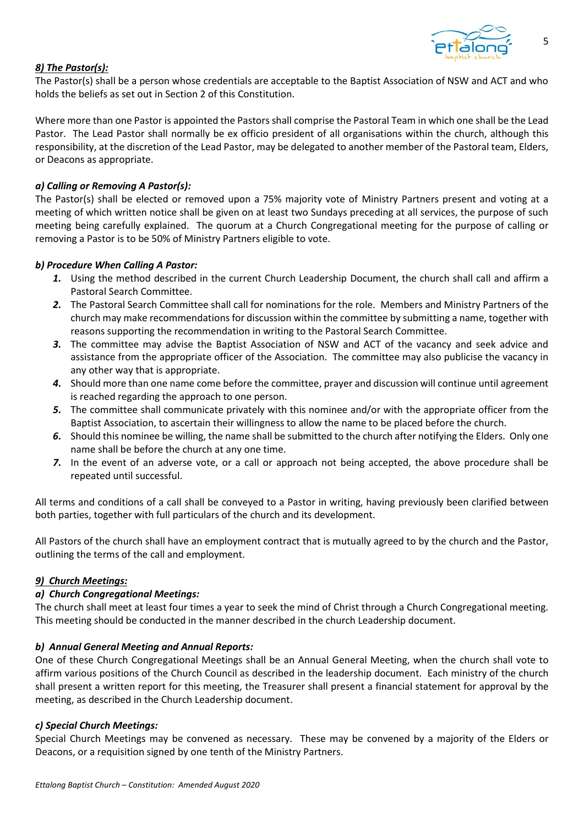

5

# *8) The Pastor(s):*

The Pastor(s) shall be a person whose credentials are acceptable to the Baptist Association of NSW and ACT and who holds the beliefs as set out in Section 2 of this Constitution.

Where more than one Pastor is appointed the Pastors shall comprise the Pastoral Team in which one shall be the Lead Pastor. The Lead Pastor shall normally be ex officio president of all organisations within the church, although this responsibility, at the discretion of the Lead Pastor, may be delegated to another member of the Pastoral team, Elders, or Deacons as appropriate.

## *a) Calling or Removing A Pastor(s):*

The Pastor(s) shall be elected or removed upon a 75% majority vote of Ministry Partners present and voting at a meeting of which written notice shall be given on at least two Sundays preceding at all services, the purpose of such meeting being carefully explained. The quorum at a Church Congregational meeting for the purpose of calling or removing a Pastor is to be 50% of Ministry Partners eligible to vote.

## *b) Procedure When Calling A Pastor:*

- *1.* Using the method described in the current Church Leadership Document, the church shall call and affirm a Pastoral Search Committee.
- *2.* The Pastoral Search Committee shall call for nominations for the role. Members and Ministry Partners of the church may make recommendations for discussion within the committee by submitting a name, together with reasons supporting the recommendation in writing to the Pastoral Search Committee.
- *3.* The committee may advise the Baptist Association of NSW and ACT of the vacancy and seek advice and assistance from the appropriate officer of the Association. The committee may also publicise the vacancy in any other way that is appropriate.
- *4.* Should more than one name come before the committee, prayer and discussion will continue until agreement is reached regarding the approach to one person.
- *5.* The committee shall communicate privately with this nominee and/or with the appropriate officer from the Baptist Association, to ascertain their willingness to allow the name to be placed before the church.
- *6.* Should this nominee be willing, the name shall be submitted to the church after notifying the Elders. Only one name shall be before the church at any one time.
- *7.* In the event of an adverse vote, or a call or approach not being accepted, the above procedure shall be repeated until successful.

All terms and conditions of a call shall be conveyed to a Pastor in writing, having previously been clarified between both parties, together with full particulars of the church and its development.

All Pastors of the church shall have an employment contract that is mutually agreed to by the church and the Pastor, outlining the terms of the call and employment.

#### *9) Church Meetings:*

#### *a) Church Congregational Meetings:*

The church shall meet at least four times a year to seek the mind of Christ through a Church Congregational meeting. This meeting should be conducted in the manner described in the church Leadership document.

#### *b) Annual General Meeting and Annual Reports:*

One of these Church Congregational Meetings shall be an Annual General Meeting, when the church shall vote to affirm various positions of the Church Council as described in the leadership document. Each ministry of the church shall present a written report for this meeting, the Treasurer shall present a financial statement for approval by the meeting, as described in the Church Leadership document.

#### *c) Special Church Meetings:*

Special Church Meetings may be convened as necessary. These may be convened by a majority of the Elders or Deacons, or a requisition signed by one tenth of the Ministry Partners.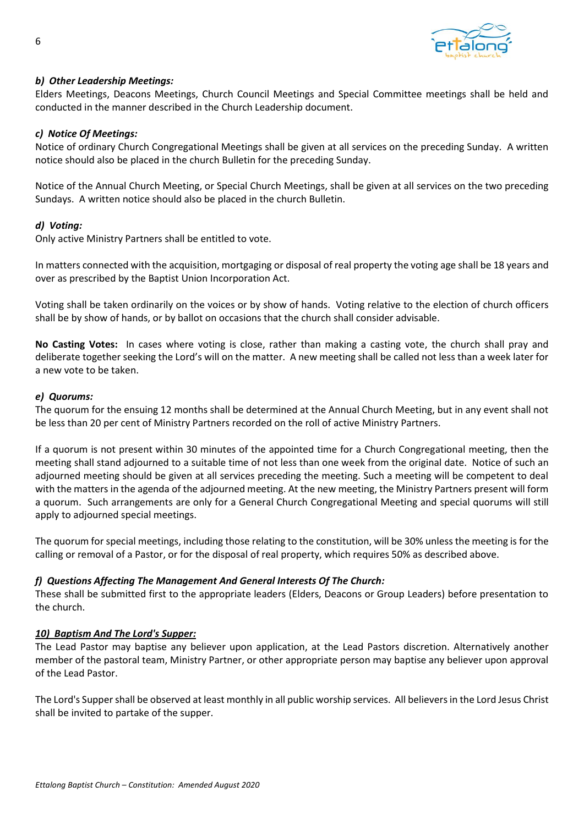

## *b) Other Leadership Meetings:*

Elders Meetings, Deacons Meetings, Church Council Meetings and Special Committee meetings shall be held and conducted in the manner described in the Church Leadership document.

#### *c) Notice Of Meetings:*

Notice of ordinary Church Congregational Meetings shall be given at all services on the preceding Sunday. A written notice should also be placed in the church Bulletin for the preceding Sunday.

Notice of the Annual Church Meeting, or Special Church Meetings, shall be given at all services on the two preceding Sundays. A written notice should also be placed in the church Bulletin.

#### *d) Voting:*

Only active Ministry Partners shall be entitled to vote.

In matters connected with the acquisition, mortgaging or disposal of real property the voting age shall be 18 years and over as prescribed by the Baptist Union Incorporation Act.

Voting shall be taken ordinarily on the voices or by show of hands. Voting relative to the election of church officers shall be by show of hands, or by ballot on occasions that the church shall consider advisable.

**No Casting Votes:** In cases where voting is close, rather than making a casting vote, the church shall pray and deliberate together seeking the Lord's will on the matter. A new meeting shall be called not less than a week later for a new vote to be taken.

#### *e) Quorums:*

The quorum for the ensuing 12 months shall be determined at the Annual Church Meeting, but in any event shall not be less than 20 per cent of Ministry Partners recorded on the roll of active Ministry Partners.

If a quorum is not present within 30 minutes of the appointed time for a Church Congregational meeting, then the meeting shall stand adjourned to a suitable time of not less than one week from the original date. Notice of such an adjourned meeting should be given at all services preceding the meeting. Such a meeting will be competent to deal with the matters in the agenda of the adjourned meeting. At the new meeting, the Ministry Partners present will form a quorum. Such arrangements are only for a General Church Congregational Meeting and special quorums will still apply to adjourned special meetings.

The quorum for special meetings, including those relating to the constitution, will be 30% unless the meeting is for the calling or removal of a Pastor, or for the disposal of real property, which requires 50% as described above.

#### *f) Questions Affecting The Management And General Interests Of The Church:*

These shall be submitted first to the appropriate leaders (Elders, Deacons or Group Leaders) before presentation to the church.

#### *10) Baptism And The Lord's Supper:*

The Lead Pastor may baptise any believer upon application, at the Lead Pastors discretion. Alternatively another member of the pastoral team, Ministry Partner, or other appropriate person may baptise any believer upon approval of the Lead Pastor.

The Lord's Supper shall be observed at least monthly in all public worship services. All believers in the Lord Jesus Christ shall be invited to partake of the supper.